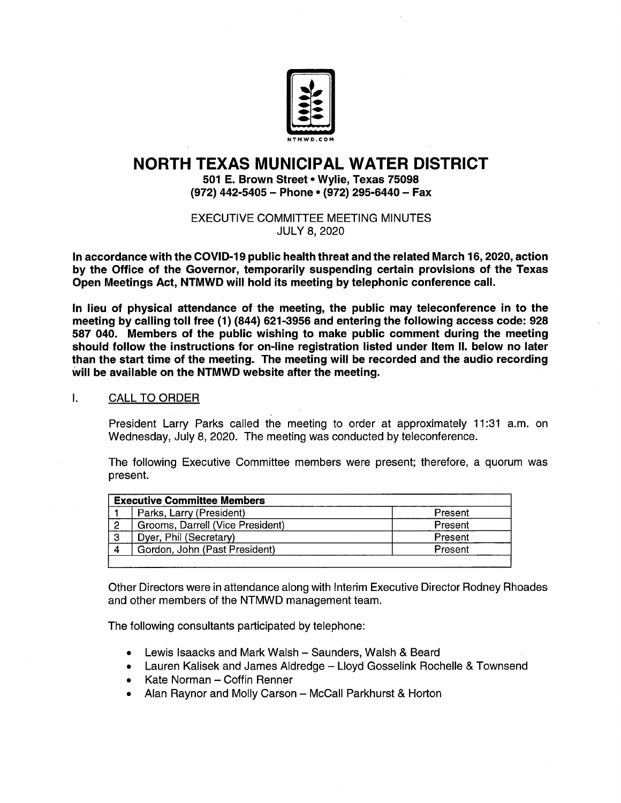

# NORTH TEXAS MUNICIPAL WATER DISTRICT

501 E. Brown Street• Wylie, Texas 75098 (972) 442-5405 - Phone • (972) 295-6440 - Fax

EXECUTIVE COMMITTEE MEETING MINUTES JULY 8, 2020

In accordance with the COVID-19 public health threat and the related March 16, 2020, action by the Office of the Governor, temporarily suspending certain provisions of the Texas Open Meetings Act, NTMWD will hold its meeting by telephonic conference call.

In lieu of physical attendance of the meeting, the public may teleconference in to the meeting by calling toll free ( 1) ( 844) 621- 3956 and entering the following access code: 928 587 040. Members of the public wishing to make public comment during the meeting should follow the instructions for on-line registration listed under Item II. below no later than the start time of the meeting. The meeting will be recorded and the audio recording will be available on the NTMWD website after the meeting.

#### $\mathbf{L}$ CALL TO ORDER

President Larry Parks called the meeting to order at approximately 11:31 a.m. on Wednesday, July 8, 2020. The meeting was conducted by teleconference.

The following Executive Committee members were present; therefore, a quorum was present.

| <b>Executive Committee Members</b> |                                  |         |
|------------------------------------|----------------------------------|---------|
|                                    | Parks, Larry (President)         | Present |
|                                    | Grooms, Darrell (Vice President) | Present |
| 3                                  | Dyer, Phil (Secretary)           | Present |
| -4                                 | Gordon, John (Past President)    | Present |
|                                    |                                  |         |

Other Directors were in attendance along with Interim Executive Director Rodney Rhoades and other members of the NTMWD management team.

The following consultants participated by telephone:

- Lewis lsaacks and Mark Walsh Saunders, Walsh & Beard
- Lauren Kalisek and James Aldredge— Lloyd Gosselink Rochelle & Townsend
- Kate Norman Coffin Renner
- Alan Raynor and Molly Carson McCall Parkhurst & Horton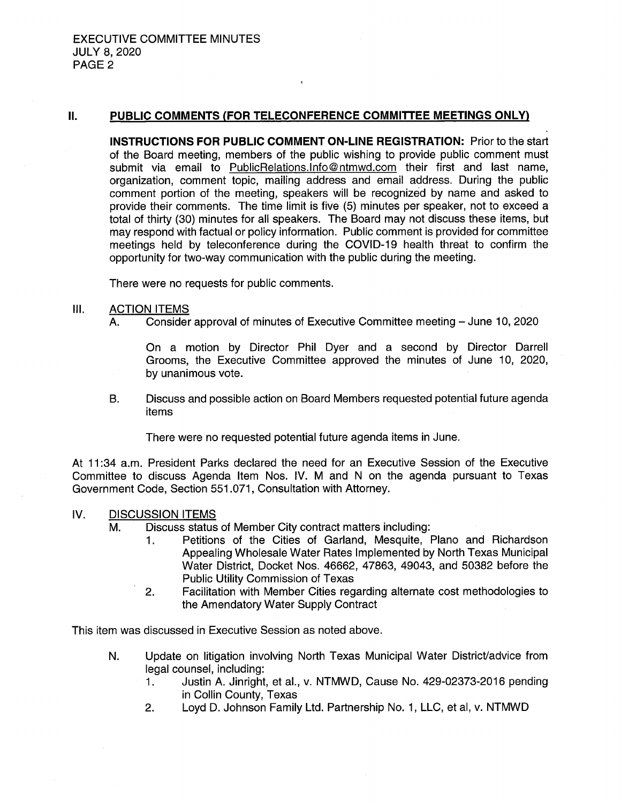#### II. PUBLIC COMMENTS (FOR TELECONFERENCE COMMITTEE MEETINGS ONLY)

ķ

INSTRUCTIONS FOR PUBLIC COMMENT ON-LINE REGISTRATION: Prior to the start of the Board meeting, members of the public wishing to provide public comment must submit via email to PublicRelations. Info@ntmwd.com their first and last name, organization, comment topic, mailing address and email address. During the public comment portion of the meeting, speakers will be recognized by name and asked to provide their comments. The time limit is five ( 5) minutes per speaker, not to exceed a total of thirty ( 30) minutes for all speakers. The Board may not discuss these items, but may respond with factual or policy information. Public comment is provided for committee meetings held by teleconference during the COVID-19 health threat to confirm the opportunity for two-way communication with the public during the meeting.

There were no requests for public comments.

# III. ACTION ITEMS

A. Consider approval of minutes of Executive Committee meeting — June 10, 2020

On a motion by Director Phil Dyer and <sup>a</sup> second by Director Darrell Grooms, the Executive Committee approved the minutes of June 10, 2020, by unanimous vote.

B. Discuss and possible action on Board Members requested potential future agenda items

There were no requested potential future agenda items in June.

At 11:34 a.m. President Parks declared the need for an Executive Session of the Executive Committee to discuss Agenda Item Nos. IV. M and <sup>N</sup> on the agenda pursuant to Texas Government Code, Section 551. 071, Consultation with Attorney.

## IV. DISCUSSION ITEMS

- M. Discuss status of Member City contract matters including:
	- 1. Petitions of the Cities of Garland, Mesquite, Plano and Richardson Appealing Wholesale Water Rates Implemented by North Texas Municipal Water District, Docket Nos. 46662, 47863, 49043, and 50382 before the Public Utility Commission of Texas
	- 2. Facilitation with Member Cities regarding alternate cost methodologies to the Amendatory Water Supply Contract

This item was discussed in Executive Session as noted above.

- N. Update on litigation involving North Texas Municipal Water District/ advice from legal counsel, including:<br>1. Justin A. Jinright
	- Justin A. Jinright, et al., v. NTMWD, Cause No. 429-02373-2016 pending in Collin County, Texas
	- 2. Loyd D. Johnson Family Ltd. Partnership No. 1, LLC, et al, v. NTMWD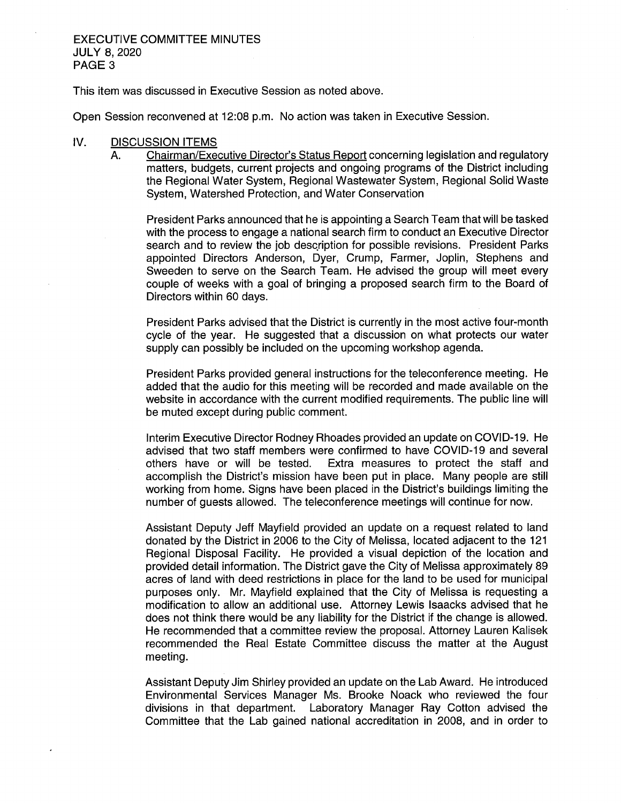#### EXECUTIVE COMMITTEE MINUTES JULY 8, 2020 PAGE 3

This item was discussed in Executive Session as noted above.

Open Session reconvened at 12:08 p.m. No action was taken in Executive Session.

#### IV. DISCUSSION ITEMS

A. Chairman/Executive Director's Status Report concerning legislation and regulatory matters, budgets, current projects and ongoing programs of the District including the Regional Water System, Regional Wastewater System, Regional Solid Waste System, Watershed Protection, and Water Conservation

President Parks announced that he is appointing a Search Team that will be tasked with the process to engage a national search firm to conduct an Executive Director search and to review the job description for possible revisions. President Parks appointed Directors Anderson, Dyer, Crump, Farmer, Joplin, Stephens and Sweeden to serve on the Search Team. He advised the group will meet every couple of weeks with a goal of bringing a proposed search firm to the Board of Directors within 60 days.

President Parks advised that the District is currently in the most active four- month cycle of the year. He suggested that a discussion on what protects our water supply can possibly be included on the upcoming workshop agenda.

President Parks provided general instructions for the teleconference meeting. He added that the audio for this meeting will be recorded and made available on the website in accordance with the current modified requirements. The public line will be muted except during public comment.

Interim Executive Director Rodney Rhoades provided an update on COVID- 19. He advised that two staff members were confirmed to have COVID-19 and several others have or will be tested. Extra measures to protect the staff and accomplish the District's mission have been put in place. Many people are still working from home. Signs have been placed in the District's buildings limiting the number of guests allowed. The teleconference meetings will continue for now.

Assistant Deputy Jeff Mayfield provided an update on a request related to land donated by the District in 2006 to the City of Melissa, located adjacent to the 121 Regional Disposal Facility. He provided a visual depiction of the location and provided detail information. The District gave the City of Melissa approximately 89 acres of land with deed restrictions in place for the land to be used for municipal purposes only. Mr. Mayfield explained that the City of Melissa is requesting a modification to allow an additional use. Attorney Lewis Isaacks advised that he does not think there would be any liability for the District if the change is allowed. He recommended that a committee review the proposal. Attorney Lauren Kalisek recommended the Real Estate Committee discuss the matter at the August meeting.

Assistant Deputy Jim Shirley provided an update on the Lab Award. He introduced Environmental Services Manager Ms. Brooke Noack who reviewed the four divisions in that department. Laboratory Manager Ray Cotton advised the Committee that the Lab gained national accreditation in 2008, and in order to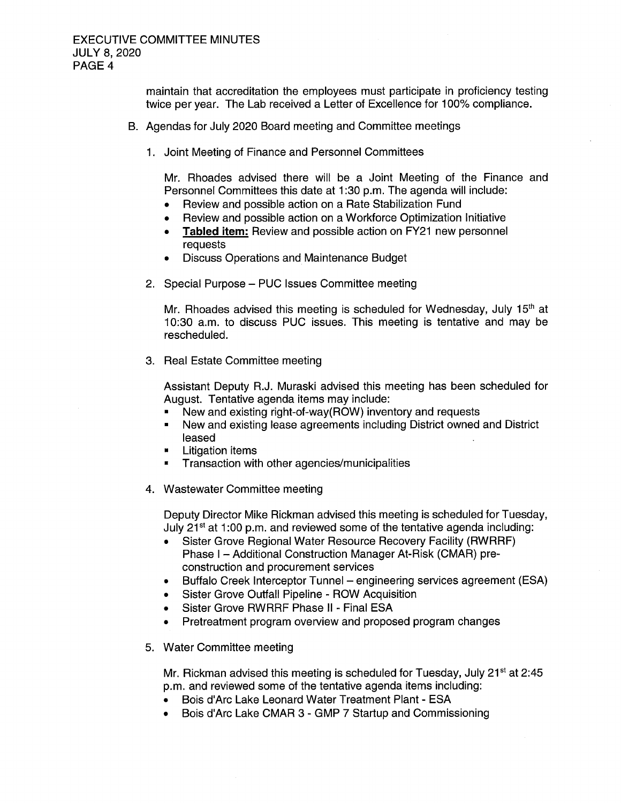maintain that accreditation the employees must participate in proficiency testing twice per year. The Lab received <sup>a</sup> Letter of Excellence for 100% compliance.

- B. Agendas for July 2020 Board meeting and Committee meetings
	- 1. Joint Meeting of Finance and Personnel Committees

Mr. Rhoades advised there will be a Joint Meeting of the Finance and Personnel Committees this date at 1:30 p.m. The agenda will include:

- Review and possible action on a Rate Stabilization Fund
- Review and possible action on a Workforce Optimization Initiative
- Tabled item: Review and possible action on FY21 new personnel  $\bullet$ requests
- Discuss Operations and Maintenance Budget
- 2. Special Purpose— PUC Issues Committee meeting

Mr. Rhoades advised this meeting is scheduled for Wednesday, July 15<sup>th</sup> at 10: 30 a. m. to discuss PUC issues. This meeting is tentative and may be rescheduled.

3. Real Estate Committee meeting

Assistant Deputy R.J. Muraski advised this meeting has been scheduled for August. Tentative agenda items may include:

- New and existing right-of-way(ROW) inventory and requests
- New and existing lease agreements including District owned and District  $\blacksquare$ leased
- Litigation items
- Transaction with other agencies/municipalities  $\blacksquare$
- 4. Wastewater Committee meeting

Deputy Director Mike Rickman advised this meeting is scheduled for Tuesday, July 21 $\mathrm{st}$  at 1:00 p.m. and reviewed some of the tentative agenda including:

- Sister Grove Regional Water Resource Recovery Facility (RWRRF) Phase I - Additional Construction Manager At-Risk (CMAR) preconstruction and procurement services
- Buffalo Creek Interceptor Tunnel engineering services agreement (ESA)
- Sister Grove Outfall Pipeline ROW Acquisition
- Sister Grove RWRRF Phase II Final ESA
- Pretreatment program overview and proposed program changes
- 5. Water Committee meeting

Mr. Rickman advised this meeting is scheduled for Tuesday, July  $21<sup>st</sup>$  at 2:45 p.m. and reviewed some of the tentative agenda items including:

- Bois d' Arc Lake Leonard Water Treatment Plant ESA
- Bois d' Arc Lake CMAR 3 GMP 7 Startup and Commissioning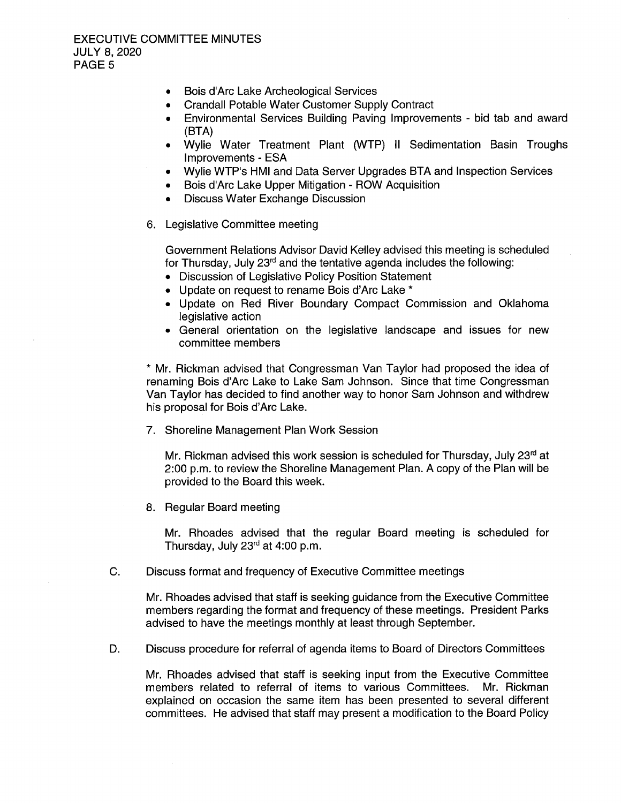- Bois d'Arc Lake Archeological Services  $\bullet$
- Crandall Potable Water Customer Supply Contract  $\bullet$
- Environmental Services Building Paving Improvements bid tab and award BTA)
- Wylie Water Treatment Plant (WTP) II Sedimentation Basin Troughs Improvements - ESA
- Wylie WTP's HMI and Data Server Upgrades BTA and Inspection Services  $\bullet$
- Bois d' Arc Lake Upper Mitigation ROW Acquisition
- Discuss Water Exchange Discussion
- 6. Legislative Committee meeting

Government Relations Advisor David Kelley advised this meeting is scheduled for Thursday, July 23<sup>rd</sup> and the tentative agenda includes the following:

- Discussion of Legislative Policy Position Statement
- Update on request to rename Bois d'Arc Lake \*
- Update on Red River Boundary Compact Commission and Oklahoma legislative action
- General orientation on the legislative landscape and issues for new committee members

Mr. Rickman advised that Congressman Van Taylor had proposed the idea of renaming Bois d'Arc Lake to Lake Sam Johnson. Since that time Congressman Van Taylor has decided to find another way to honor Sam Johnson and withdrew his proposal for Bois d'Arc Lake.

7. Shoreline Management Plan Work Session

Mr. Rickman advised this work session is scheduled for Thursday, July 23<sup>rd</sup> at 2:00 p.m. to review the Shoreline Management Plan. A copy of the Plan will be provided to the Board this week.

8. Regular Board meeting

Mr. Rhoades advised that the regular Board meeting is scheduled for Thursday, July  $23<sup>rd</sup>$  at 4:00 p.m.

C. Discuss format and frequency of Executive Committee meetings

Mr. Rhoades advised that staff is seeking guidance from the Executive Committee members regarding the format and frequency of these meetings. President Parks advised to have the meetings monthly at least through September.

D. Discuss procedure for referral of agenda items to Board of Directors Committees

Mr. Rhoades advised that staff is seeking input from the Executive Committee members related to referral of items to various Committees. Mr. Rickman explained on occasion the same item has been presented to several different committees. He advised that staff may present a modification to the Board Policy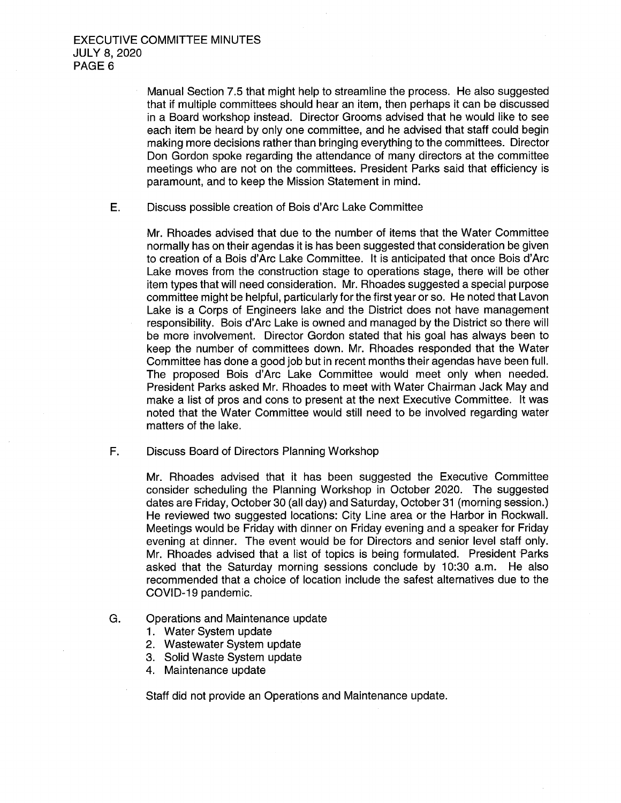Manual Section 7.5 that might help to streamline the process. He also suggested that if multiple committees should hear an item, then perhaps it can be discussed in a Board workshop instead. Director Grooms advised that he would like to see each item be heard by only one committee, and he advised that staff could begin making more decisions rather than bringing everything to the committees. Director Don Gordon spoke regarding the attendance of many directors at the committee meetings who are not on the committees. President Parks said that efficiency is paramount, and to keep the Mission Statement in mind.

E. Discuss possible creation of Bois d' Arc Lake Committee

Mr. Rhoades advised that due to the number of items that the Water Committee normally has on their agendas it is has been suggested that consideration be given to creation of a Bois d'Arc Lake Committee. It is anticipated that once Bois d' Arc Lake moves from the construction stage to operations stage, there will be other item types that will need consideration. Mr. Rhoades suggested a special purpose committee might be helpful, particularly for the first year or so. He noted that Lavon Lake is a Corps of Engineers lake and the District does not have management responsibility. Bois d'Arc Lake is owned and managed by the District so there will be more involvement. Director Gordon stated that his goal has always been to keep the number of committees down. Mr. Rhoades responded that the Water Committee has done a good job but in recent months their agendas have been full. The proposed Bois d'Arc Lake Committee would meet only when needed. President Parks asked Mr. Rhoades to meet with Water Chairman Jack May and make a list of pros and cons to present at the next Executive Committee. It was noted that the Water Committee would still need to be involved regarding water matters of the lake.

F. Discuss Board of Directors Planning Workshop

Mr. Rhoades advised that it has been suggested the Executive Committee consider scheduling the Planning Workshop in October 2020. The suggested dates are Friday, October 30 (all day) and Saturday, October 31 (morning session.) He reviewed two suggested locations: City Line area or the Harbor in Rockwall. Meetings would be Friday with dinner on Friday evening and a speaker for Friday evening at dinner. The event would be for Directors and senior level staff only. Mr. Rhoades advised that a list of topics is being formulated. President Parks asked that the Saturday morning sessions conclude by 10:30 a.m. He also recommended that a choice of location include the safest alternatives due to the COVID- 19 pandemic.

- G. Operations and Maintenance update
	- 1. Water System update
	- 2. Wastewater System update
	- 3. Solid Waste System update
	- 4. Maintenance update

Staff did not provide an Operations and Maintenance update.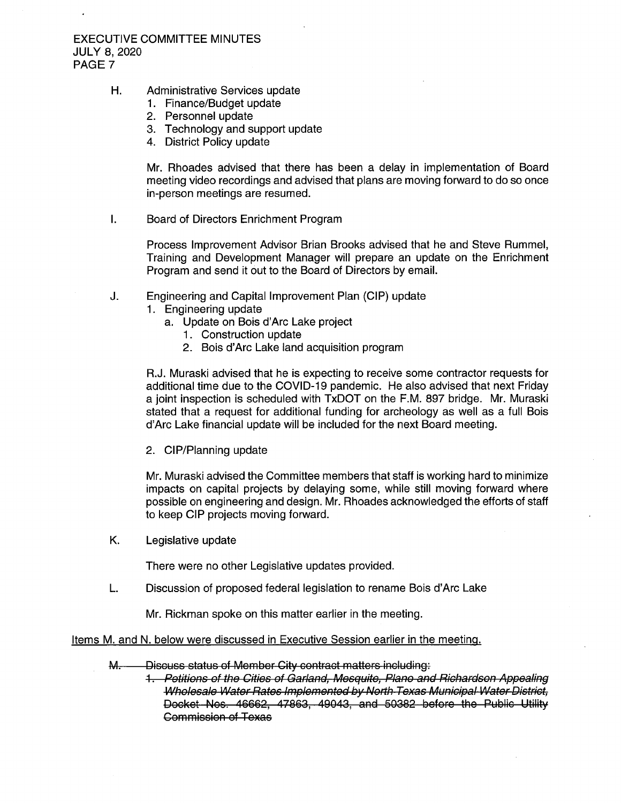### EXECUTIVE COMMITTEE MINUTES JULY 8, 2020 PAGE 7

- H. Administrative Services update
	- 1. Finance/Budget update
	- 2. Personnel update
	- 3. Technology and support update
	- 4. District Policy update

Mr. Rhoades advised that there has been a delay in implementation of Board meeting video recordings and advised that plans are moving forward to do so once in-person meetings are resumed.

 $\mathbf{I}$ . Board of Directors Enrichment Program

> Process Improvement Advisor Brian Brooks advised that he and Steve Rummel, Training and Development Manager will prepare an update on the Enrichment Program and send it out to the Board of Directors by email.

- J. Engineering and Capital Improvement Plan (CIP) update
	- 1. Engineering update
		- a. Update on Bois d' Arc Lake project
			- 1. Construction update
			- 2. Bois d'Arc Lake land acquisition program

R.J. Muraski advised that he is expecting to receive some contractor requests for additional time due to the COVID- 19 pandemic. He also advised that next Friday a joint inspection is scheduled with TxDOT on the F.M. 897 bridge. Mr. Murask stated that a request for additional funding for archeology as well as a full Bois d' Arc Lake financial update will be included for the next Board meeting.

2. CIP/Planning update

Mr. Muraski advised the Committee members that staff is working hard to minimize impacts on capital projects by delaying some, while still moving forward where possible on engineering and design. Mr. Rhoades acknowledged the efforts of staff to keep CIP projects moving forward.

K. Legislative update

There were no other Legislative updates provided.

L. Discussion of proposed federal legislation to rename Bois d'Arc Lake

Mr. Rickman spoke on this matter earlier in the meeting.

#### Items M. and N. below were discussed in Executive Session earlier in the meeting.

- M. Discuss status of Member City contract matters including:
	- 1. Petitions of the Cities of Garland, Mecquitc, Plano and Richardson Appealing Wholesale Water Rates Implemented by North Texas Municipal Water District, Docket Nos. 46662, 47863, 49043, and 50382 before the Public Utility Commission of Texas